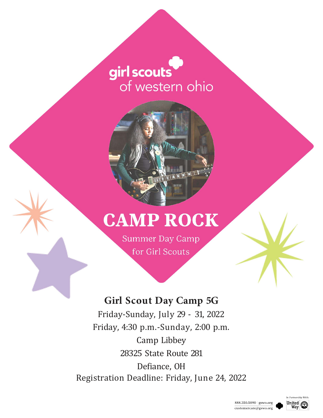# girl scouts of western ohio



# **CAMP ROCK**

Summer Day Camp for Girl Scouts

## **Girl Scout Day Camp 5G**

Friday-Sunday, July 29 - 31, 2022 Friday, 4:30 p.m.-Sunday, 2:00 p.m. Camp Libbey 28325 State Route 281 Defiance, OH Registration Deadline: Friday, June 24, 2022



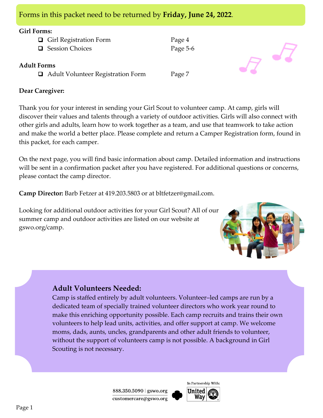|  |  | Forms in this packet need to be returned by Friday, June 24, 2022. |
|--|--|--------------------------------------------------------------------|

### **Girl Forms:**

| $\Box$ Girl Registration Form |
|-------------------------------|
| <b>□</b> Session Choices      |

## **Adult Forms**

□ Adult Volunteer Registration Form Page 7

Page 4 Page 5-6

## **Dear Caregiver:**

Thank you for your interest in sending your Girl Scout to volunteer camp. At camp, girls will discover their values and talents through a variety of outdoor activities. Girls will also connect with other girls and adults, learn how to work together as a team, and use that teamwork to take action and make the world a better place. Please complete and return a Camper Registration form, found in this packet, for each camper.

On the next page, you will find basic information about camp. Detailed information and instructions will be sent in a confirmation packet after you have registered. For additional questions or concerns, please contact the camp director.

**Camp Director:** Barb Fetzer at 419.203.5803 or at bltfetzer@gmail.com.

Looking for additional outdoor activities for your Girl Scout? All of our summer camp and outdoor activities are listed on our website at gswo.org/camp.



## **Adult Volunteers Needed:**

Camp is staffed entirely by adult volunteers. Volunteer–led camps are run by a dedicated team of specially trained volunteer directors who work year round to make this enriching opportunity possible. Each camp recruits and trains their own volunteers to help lead units, activities, and offer support at camp. We welcome moms, dads, aunts, uncles, grandparents and other adult friends to volunteer, without the support of volunteers camp is not possible. A background in Girl Scouting is not necessary.

> 888.350.5090 | gswo.org customercare@gswo.org



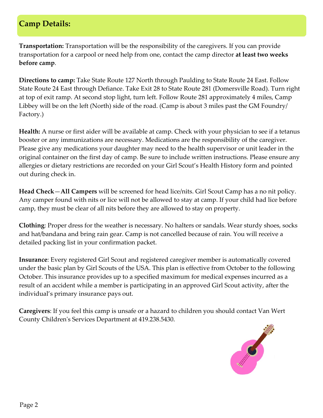## **Camp Details:**

**Transportation:** Transportation will be the responsibility of the caregivers. If you can provide transportation for a carpool or need help from one, contact the camp director **at least two weeks before camp**.

**Directions to camp:** Take State Route 127 North through Paulding to State Route 24 East. Follow State Route 24 East through Defiance. Take Exit 28 to State Route 281 (Domersville Road). Turn right at top of exit ramp. At second stop light, turn left. Follow Route 281 approximately 4 miles, Camp Libbey will be on the left (North) side of the road. (Camp is about 3 miles past the GM Foundry/ Factory.)

**Health:** A nurse or first aider will be available at camp. Check with your physician to see if a tetanus booster or any immunizations are necessary. Medications are the responsibility of the caregiver. Please give any medications your daughter may need to the health supervisor or unit leader in the original container on the first day of camp. Be sure to include written instructions. Please ensure any allergies or dietary restrictions are recorded on your Girl Scout's Health History form and pointed out during check in.

**Head Check**—**All Campers** will be screened for head lice/nits. Girl Scout Camp has a no nit policy. Any camper found with nits or lice will not be allowed to stay at camp. If your child had lice before camp, they must be clear of all nits before they are allowed to stay on property.

**Clothing**: Proper dress for the weather is necessary. No halters or sandals. Wear sturdy shoes, socks and hat/bandana and bring rain gear. Camp is not cancelled because of rain. You will receive a detailed packing list in your confirmation packet.

**Insurance**: Every registered Girl Scout and registered caregiver member is automatically covered under the basic plan by Girl Scouts of the USA. This plan is effective from October to the following October. This insurance provides up to a specified maximum for medical expenses incurred as a result of an accident while a member is participating in an approved Girl Scout activity, after the individual's primary insurance pays out.

**Caregivers**: If you feel this camp is unsafe or a hazard to children you should contact Van Wert County Children's Services Department at 419.238.5430.

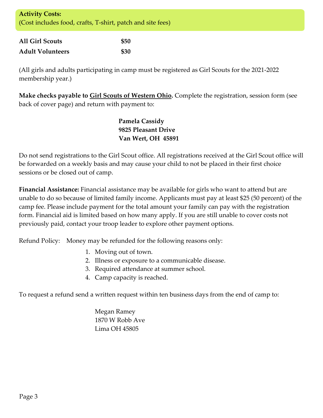| <b>Activity Costs:</b>                                     |  |
|------------------------------------------------------------|--|
| (Cost includes food, crafts, T-shirt, patch and site fees) |  |

| <b>All Girl Scouts</b>  | <b>\$50</b> |
|-------------------------|-------------|
| <b>Adult Volunteers</b> | <b>\$30</b> |

(All girls and adults participating in camp must be registered as Girl Scouts for the 2021-2022 membership year.)

**Make checks payable to Girl Scouts of Western Ohio.** Complete the registration, session form (see back of cover page) and return with payment to:

> **Pamela Cassidy 9825 Pleasant Drive Van Wert, OH 45891**

Do not send registrations to the Girl Scout office. All registrations received at the Girl Scout office will be forwarded on a weekly basis and may cause your child to not be placed in their first choice sessions or be closed out of camp.

**Financial Assistance:** Financial assistance may be available for girls who want to attend but are unable to do so because of limited family income. Applicants must pay at least \$25 (50 percent) of the camp fee. Please include payment for the total amount your family can pay with the registration form. Financial aid is limited based on how many apply. If you are still unable to cover costs not previously paid, contact your troop leader to explore other payment options.

Refund Policy: Money may be refunded for the following reasons only:

- 1. Moving out of town.
- 2. Illness or exposure to a communicable disease.
- 3. Required attendance at summer school.
- 4. Camp capacity is reached.

To request a refund send a written request within ten business days from the end of camp to:

Megan Ramey 1870 W Robb Ave Lima OH 45805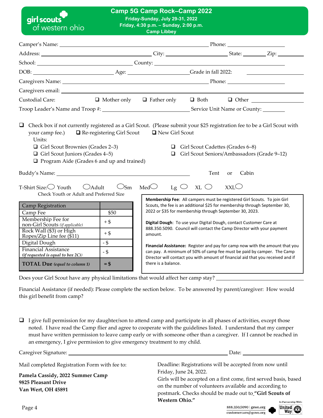| girl scouts<br>of western ohio                                                                                                                                                                                                      |                                              | <b>Camp 5G Camp Rock-Camp 2022</b><br>Friday-Sunday, July 29-31, 2022<br>Friday, 4:30 p.m. - Sunday, 2:00 p.m.<br><b>Camp Libbey</b>                                                                                                                                                                                                                                         |                                          |                                                                                 |                                                                                                                                                                                                                                           |
|-------------------------------------------------------------------------------------------------------------------------------------------------------------------------------------------------------------------------------------|----------------------------------------------|------------------------------------------------------------------------------------------------------------------------------------------------------------------------------------------------------------------------------------------------------------------------------------------------------------------------------------------------------------------------------|------------------------------------------|---------------------------------------------------------------------------------|-------------------------------------------------------------------------------------------------------------------------------------------------------------------------------------------------------------------------------------------|
|                                                                                                                                                                                                                                     |                                              |                                                                                                                                                                                                                                                                                                                                                                              |                                          |                                                                                 |                                                                                                                                                                                                                                           |
|                                                                                                                                                                                                                                     |                                              |                                                                                                                                                                                                                                                                                                                                                                              |                                          |                                                                                 |                                                                                                                                                                                                                                           |
| School: County: County:                                                                                                                                                                                                             |                                              |                                                                                                                                                                                                                                                                                                                                                                              |                                          |                                                                                 |                                                                                                                                                                                                                                           |
|                                                                                                                                                                                                                                     |                                              |                                                                                                                                                                                                                                                                                                                                                                              |                                          |                                                                                 |                                                                                                                                                                                                                                           |
|                                                                                                                                                                                                                                     |                                              |                                                                                                                                                                                                                                                                                                                                                                              |                                          |                                                                                 |                                                                                                                                                                                                                                           |
|                                                                                                                                                                                                                                     |                                              |                                                                                                                                                                                                                                                                                                                                                                              |                                          |                                                                                 |                                                                                                                                                                                                                                           |
| Custodial Care:                                                                                                                                                                                                                     |                                              |                                                                                                                                                                                                                                                                                                                                                                              |                                          |                                                                                 |                                                                                                                                                                                                                                           |
|                                                                                                                                                                                                                                     |                                              |                                                                                                                                                                                                                                                                                                                                                                              |                                          |                                                                                 |                                                                                                                                                                                                                                           |
| your camp fee.) $\Box$ Re-registering Girl Scout<br>Units:<br>$\Box$ Girl Scout Brownies (Grades 2–3)<br>$\Box$ Girl Scout Juniors (Grades 4-5)<br>$\Box$ Program Aide (Grades 6 and up and trained)                                |                                              | New Girl Scout                                                                                                                                                                                                                                                                                                                                                               |                                          | Girl Scout Cadettes (Grades 6–8)<br>Girl Scout Seniors/Ambassadors (Grade 9-12) |                                                                                                                                                                                                                                           |
|                                                                                                                                                                                                                                     |                                              |                                                                                                                                                                                                                                                                                                                                                                              | Tent                                     | Cabin<br><sub>or</sub>                                                          |                                                                                                                                                                                                                                           |
| T-Shirt Size: $\bigcirc$ Youth $\bigcirc$ Adult<br>Check Youth or Adult and Preferred Size                                                                                                                                          |                                              | $\bigcirc$ Sm Med $\bigcirc$                                                                                                                                                                                                                                                                                                                                                 | $Lg \n\circ \neg XL \n\circlearrowright$ | XXLO                                                                            |                                                                                                                                                                                                                                           |
| Camp Registration<br>Camp Fee<br>Membership Fee for<br>non-Girl Scouts (if applicable)<br>Rock Wall (\$3) or High<br>Ropes/Zip Line fee (\$11)<br>Digital Dough<br><b>Financial Assistance</b><br>(if requested is equal to box 2C) | \$50<br>$+$ \$<br>$+$ \$<br>$-$ \$<br>$-$ \$ | Membership Fee: All campers must be registered Girl Scouts. To join Girl<br>Scouts, the fee is an additional \$25 for membership through September 30,<br>2022 or \$35 for membership through September 30, 2023.<br>Digital Dough: To use your Digital Dough, contact Customer Care at<br>888.350.5090. Council will contact the Camp Director with your payment<br>amount. |                                          |                                                                                 | Financial Assistance: Register and pay for camp now with the amount that you<br>can pay. A minimum of 50% of camp fee must be paid by camper. The Camp<br>Director will contact you with amount of financial aid that you received and if |

Does your Girl Scout have any physical limitations that would affect her camp stay?

**TOTAL Due** (equal to column 1)  $=$  \$

Financial Assistance (if needed): Please complete the section below. To be answered by parent/caregiver: How would this girl benefit from camp?

there is a balance.

 $\Box$  I give full permission for my daughter/son to attend camp and participate in all phases of activities, except those noted. I have read the Camp flier and agree to cooperate with the guidelines listed. I understand that my camper must have written permission to leave camp early or with someone other than a caregiver. If I cannot be reached in an emergency, I give permission to give emergency treatment to my child.

| Caregiver Signature:                                                          | Date:                                                                                                                                                                                                           |
|-------------------------------------------------------------------------------|-----------------------------------------------------------------------------------------------------------------------------------------------------------------------------------------------------------------|
| Mail completed Registration Form with fee to:                                 | Deadline: Registrations will be accepted from now until                                                                                                                                                         |
| Pamela Cassidy, 2022 Summer Camp<br>9825 Pleasant Drive<br>Van Wert, OH 45891 | Friday, June 24, 2022.<br>Girls will be accepted on a first come, first served basis, based<br>on the number of volunteers available and according to<br>postmark. Checks should be made out to "Girl Scouts of |
|                                                                               | <b>Western Ohio."</b><br>In Partnership With:                                                                                                                                                                   |
| $\mathbf{D}$ . $\mathbf{A}$                                                   | $\overline{\text{Initial}}$<br>$988.250.5090$ $\sigma$ $\sigma$                                                                                                                                                 |

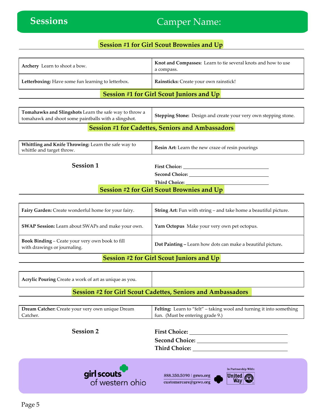## Camper Name:

## **Session #1 for Girl Scout Brownies and Up**

| <b>Archery</b> Learn to shoot a bow.               | Knot and Compasses: Learn to tie several knots and how to use<br>a compass. |
|----------------------------------------------------|-----------------------------------------------------------------------------|
| Letterboxing: Have some fun learning to letterbox. | Rainsticks: Create your own rainstick!                                      |
|                                                    | <b>Session #1 for Girl Scout Juniors and Up</b>                             |

| Tomahawks and Slingshots Learn the safe way to throw a<br>tomahawk and shoot some paintballs with a slingshot. |  |  |                                                                                                                                                                                                                                                                                                  |  |  |  | Stepping Stone: Design and create your very own stepping stone. |  |  |
|----------------------------------------------------------------------------------------------------------------|--|--|--------------------------------------------------------------------------------------------------------------------------------------------------------------------------------------------------------------------------------------------------------------------------------------------------|--|--|--|-----------------------------------------------------------------|--|--|
|                                                                                                                |  |  | $\mathbb{R}$ and $\mathbb{R}$ and $\mathbb{R}$ and $\mathbb{R}$ and $\mathbb{R}$ and $\mathbb{R}$ and $\mathbb{R}$ and $\mathbb{R}$ and $\mathbb{R}$ and $\mathbb{R}$ and $\mathbb{R}$ and $\mathbb{R}$ and $\mathbb{R}$ and $\mathbb{R}$ and $\mathbb{R}$ and $\mathbb{R}$ and $\mathbb{R}$ and |  |  |  |                                                                 |  |  |

### **Session #1 for Cadettes, Seniors and Ambassadors**

| <b>Whittling and Knife Throwing:</b> Learn the safe way to<br>whittle and target throw. | Resin Art: Learn the new craze of resin pourings |
|-----------------------------------------------------------------------------------------|--------------------------------------------------|
|                                                                                         |                                                  |

| <b>bession</b> |  |
|----------------|--|
|                |  |

First Choice: <u>**Charles**</u>

**Second Choice:** 

**Third Choice:** 

## **Session #2 for Girl Scout Brownies and Up**

| Fairy Garden: Create wonderful home for your fairy.                                    | <b>String Art:</b> Fun with string – and take home a beautiful picture. |  |  |
|----------------------------------------------------------------------------------------|-------------------------------------------------------------------------|--|--|
| <b>SWAP Session:</b> Learn about SWAPs and make your own.                              | Yarn Octopus Make your very own pet octopus.                            |  |  |
| <b>Book Binding - Ceate your very own book to fill</b><br>with drawings or journaling. | Dot Painting – Learn how dots can make a beautiful picture.             |  |  |

### **Session #2 for Girl Scout Juniors and Up**

| <b>Acrylic Pouring Create a work of art as unique as you.</b> |                                                                    |  |
|---------------------------------------------------------------|--------------------------------------------------------------------|--|
|                                                               | <b>Session #2 for Girl Scout Cadettes, Seniors and Ambassadors</b> |  |

| Dream Catcher: Create your very own unique Dream | <b>Felting:</b> Learn to "felt" – taking wool and turning it into something |
|--------------------------------------------------|-----------------------------------------------------------------------------|
| Catcher.                                         | fun. (Must be entering grade 9.)                                            |

**Session 2 First Choice:** 

**Second Choice:**

**Third Choice:** 



888.350.5090 | gswo.org customercare@gswo.org

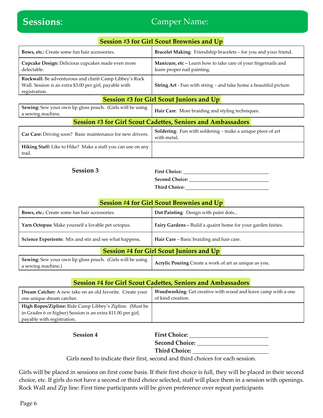## Camper Name:

| <b>Session #3 for Girl Scout Brownies and Up</b>                                                                                  |                                                                                                      |  |  |  |
|-----------------------------------------------------------------------------------------------------------------------------------|------------------------------------------------------------------------------------------------------|--|--|--|
| Bows, etc.: Create some fun hair accessories.                                                                                     | Bracelet Making: Friendship bracelets - for you and your friend.                                     |  |  |  |
| Cupcake Design: Delicious cupcakes made even more<br>delectable.                                                                  | <b>Manicure, etc</b> – Learn how to take care of your fingernails and<br>learn proper nail painting. |  |  |  |
| Rockwall: Be adventurous and climb Camp Libbey's Rock<br>Wall. Session is an extra \$3.00 per girl, payable with<br>registration. | <b>String Art</b> - Fun with string – and take home a beautiful picture.                             |  |  |  |
| <b>Session #3 for Girl Scout Juniors and Up</b>                                                                                   |                                                                                                      |  |  |  |
| Sewing: Sew your own lip gloss pouch. (Girls will be using<br>a sewing machine.                                                   | Hair Care: More braiding and styling techniques.                                                     |  |  |  |
| <b>Session #3 for Girl Scout Cadettes, Seniors and Ambassadors</b>                                                                |                                                                                                      |  |  |  |
| Car Care: Driving soon? Basic maintenance for new drivers.                                                                        | Soldering: Fun with soldering - make a unique piece of art<br>with metal.                            |  |  |  |
| Hiking Staff: Like to Hike? Make a staff you can use on any<br>trail.                                                             |                                                                                                      |  |  |  |

**Session 3 First Choice:** <u>First</u> Choice:

**Second Choice: Third Choice:** 

### **Session #4 for Girl Scout Brownies and Up**

| Bows, etc.: Create some fun hair accessories.                                    |  | Dot Painting: Design with paint dots                         |  |  |
|----------------------------------------------------------------------------------|--|--------------------------------------------------------------|--|--|
| Yarn Octopus: Make yourself a lovable pet octopus.                               |  | Fairy Gardens - Build a quaint home for your garden fairies. |  |  |
| Science Experients: Mix and stir and see what happens.                           |  | Hair Care - Basic braiding and hair care.                    |  |  |
| <b>Session #4 for Girl Scout Juniors and Up</b>                                  |  |                                                              |  |  |
| Sewing: Sew your own lip gloss pouch. (Girls will be using<br>a sewing machine.) |  | Acrylic Pouring Create a work of art as unique as you.       |  |  |

### **Session #4 for Girl Scout Cadettes, Seniors and Ambassadors**

| <b>Dream Catcher:</b> A new take on an old favorite. Create your<br>one unique dream catcher. | Woodworking: Get creative with wood and leave camp with a one<br>of kind creation. |
|-----------------------------------------------------------------------------------------------|------------------------------------------------------------------------------------|
| High Ropes/Zipline: Ride Camp Libbey's Zipline. (Must be                                      |                                                                                    |
| in Grades 6 or higher) Session is an extra \$11.00 per girl,                                  |                                                                                    |
| payable with registration.                                                                    |                                                                                    |

**Session 4 First Choice: First Choice: First Choice: First Choice: First Choice: First Choice: First Choice: Fig. 2 Second Choice: Third Choice:** 

Girls need to indicate their first, second and third choices for each session.

Girls will be placed in sessions on first come basis. If their first choice is full, they will be placed in their second choice, etc. If girls do not have a second or third choice selected, staff will place them in a session with openings. Rock Wall and Zip line: First time participants will be given preference over repeat participants